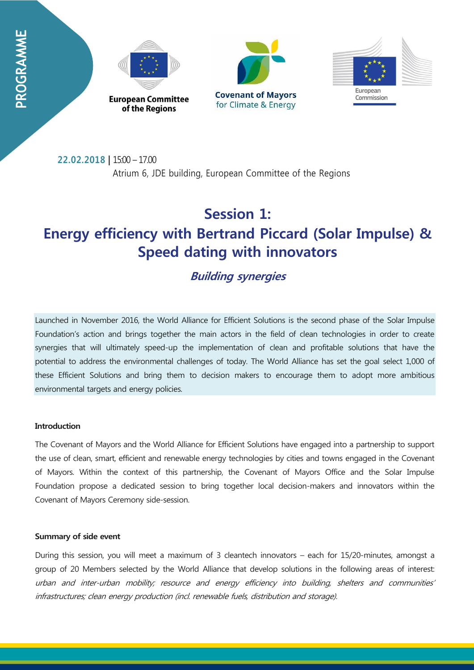





**22.02.2018 |** 15:00 – 17.00 Atrium 6, JDE building, European Committee of the Regions

# **Session 1: Energy efficiency with Bertrand Piccard (Solar Impulse) & Speed dating with innovators**

# **Building synergies**

Launched in November 2016, the World Alliance for Efficient Solutions is the second phase of the Solar Impulse Foundation's action and brings together the main actors in the field of clean technologies in order to create synergies that will ultimately speed-up the implementation of clean and profitable solutions that have the potential to address the environmental challenges of today. The World Alliance has set the goal select 1,000 of these Efficient Solutions and bring them to decision makers to encourage them to adopt more ambitious environmental targets and energy policies.

# **Introduction**

The Covenant of Mayors and the World Alliance for Efficient Solutions have engaged into a partnership to support the use of clean, smart, efficient and renewable energy technologies by cities and towns engaged in the Covenant of Mayors. Within the context of this partnership, the Covenant of Mayors Office and the Solar Impulse Foundation propose a dedicated session to bring together local decision-makers and innovators within the Covenant of Mayors Ceremony side-session.

### **Summary of side event**

During this session, you will meet a maximum of 3 cleantech innovators – each for 15/20-minutes, amongst a group of 20 Members selected by the World Alliance that develop solutions in the following areas of interest: urban and inter-urban mobility; resource and energy efficiency into building, shelters and communities' infrastructures; clean energy production (incl. renewable fuels, distribution and storage).